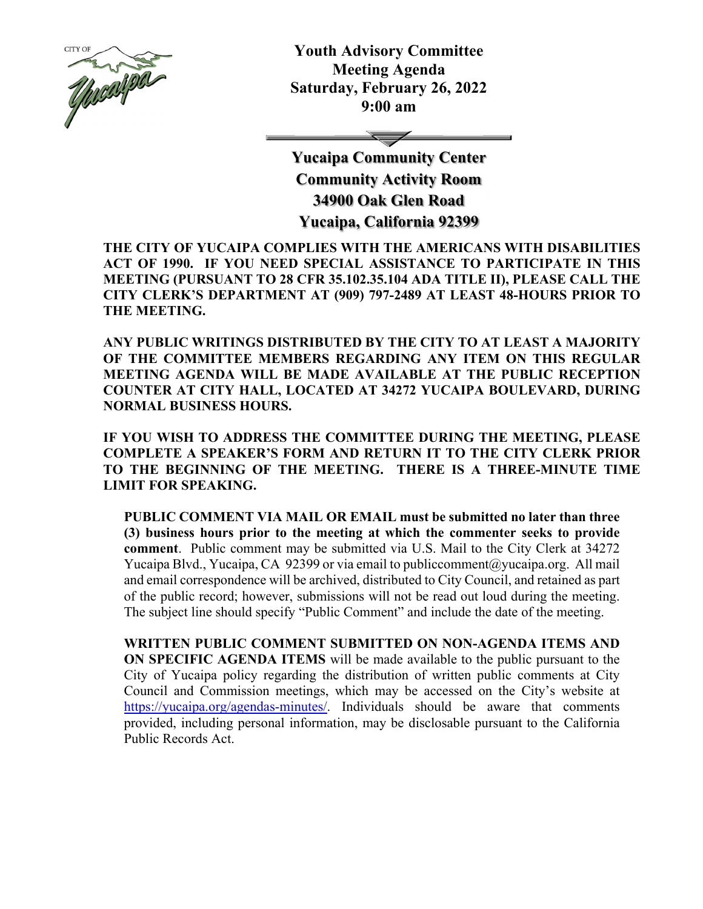

**Youth Advisory Committee Meeting Agenda Saturday, February 26, 2022 9:00 am** 

 $\overline{\phantom{0}}$ 

**Yucaipa Community Center Community Activity Room 34900 Oak Glen Road Yucaipa, California 92399** 

**THE CITY OF YUCAIPA COMPLIES WITH THE AMERICANS WITH DISABILITIES ACT OF 1990. IF YOU NEED SPECIAL ASSISTANCE TO PARTICIPATE IN THIS MEETING (PURSUANT TO 28 CFR 35.102.35.104 ADA TITLE II), PLEASE CALL THE CITY CLERK'S DEPARTMENT AT (909) 797-2489 AT LEAST 48-HOURS PRIOR TO THE MEETING.** 

**ANY PUBLIC WRITINGS DISTRIBUTED BY THE CITY TO AT LEAST A MAJORITY OF THE COMMITTEE MEMBERS REGARDING ANY ITEM ON THIS REGULAR MEETING AGENDA WILL BE MADE AVAILABLE AT THE PUBLIC RECEPTION COUNTER AT CITY HALL, LOCATED AT 34272 YUCAIPA BOULEVARD, DURING NORMAL BUSINESS HOURS.** 

**IF YOU WISH TO ADDRESS THE COMMITTEE DURING THE MEETING, PLEASE COMPLETE A SPEAKER'S FORM AND RETURN IT TO THE CITY CLERK PRIOR TO THE BEGINNING OF THE MEETING. THERE IS A THREE-MINUTE TIME LIMIT FOR SPEAKING.** 

**PUBLIC COMMENT VIA MAIL OR EMAIL must be submitted no later than three (3) business hours prior to the meeting at which the commenter seeks to provide comment**. Public comment may be submitted via U.S. Mail to the City Clerk at 34272 Yucaipa Blvd., Yucaipa, CA 92399 or via email to publiccomment@yucaipa.org. All mail and email correspondence will be archived, distributed to City Council, and retained as part of the public record; however, submissions will not be read out loud during the meeting. The subject line should specify "Public Comment" and include the date of the meeting.

**WRITTEN PUBLIC COMMENT SUBMITTED ON NON-AGENDA ITEMS AND ON SPECIFIC AGENDA ITEMS** will be made available to the public pursuant to the City of Yucaipa policy regarding the distribution of written public comments at City Council and Commission meetings, which may be accessed on the City's website at https://yucaipa.org/agendas-minutes/. Individuals should be aware that comments provided, including personal information, may be disclosable pursuant to the California Public Records Act.